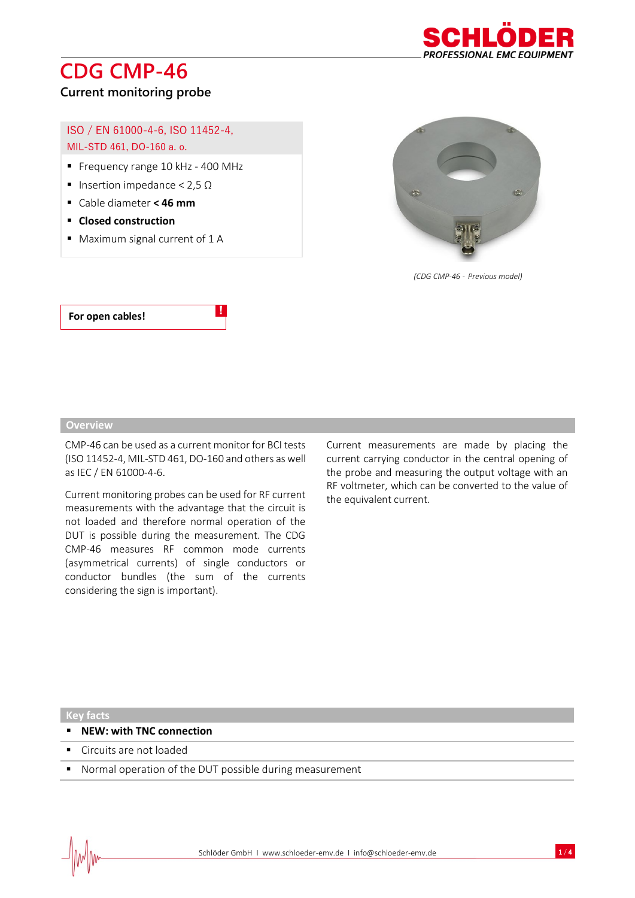

### **Current monitoring probe**

#### ISO / EN 61000-4-6, ISO 11452-4, MIL-STD 461, DO-160 a. o.

- Frequency range 10 kHz 400 MHz
- Insertion impedance < 2,5 Ω
- Cable diameter **< 46 mm**
- **Closed construction**
- Maximum signal current of 1 A



*(CDG CMP-46 - Previous model)*

#### **For open cables!**

#### **Overview**

CMP-46 can be used as a current monitor for BCI tests (ISO 11452-4, MIL-STD 461, DO-160 and others as well as IEC / EN 61000-4-6.

!

Current monitoring probes can be used for RF current measurements with the advantage that the circuit is not loaded and therefore normal operation of the DUT is possible during the measurement. The CDG CMP-46 measures RF common mode currents (asymmetrical currents) of single conductors or conductor bundles (the sum of the currents considering the sign is important).

Current measurements are made by placing the current carrying conductor in the central opening of the probe and measuring the output voltage with an RF voltmeter, which can be converted to the value of the equivalent current.

**Key facts**

- **NEW: with TNC connection**
- Circuits are not loaded
- Normal operation of the DUT possible during measurement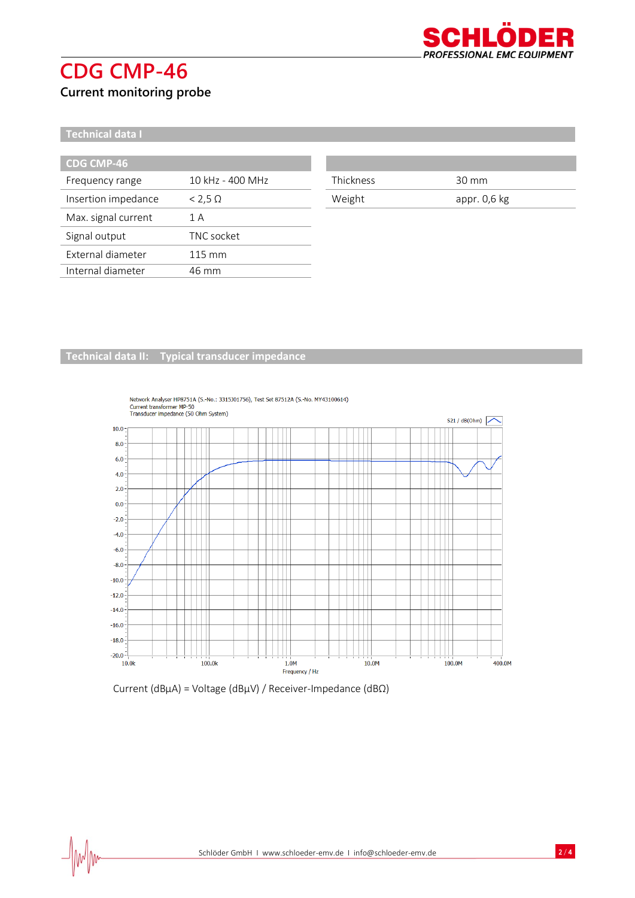

**Current monitoring probe**

**Technical data I**

 $\textcolor{red}{\mathcal{N}}$ 

| <b>CDG CMP-46</b>   |                  |
|---------------------|------------------|
| Frequency range     | 10 kHz - 400 MHz |
| Insertion impedance | $<$ 2,5 $\Omega$ |
| Max. signal current | 1 A              |
| Signal output       | TNC socket       |
| External diameter   | $115 \text{ mm}$ |
| Internal diameter   | 46 mm            |

| Thickness | 30 mm        |
|-----------|--------------|
| Weight    | appr. 0,6 kg |

#### **Technical data II: Typical transducer impedance**



#### Network Analyser HP8751A (S.-No.: 3315J01756), Test Set 87512A (S.-No. MY43100614) Current transformer MP-50<br>Transducer impedance (50 Ohm System)

#### Current (dBµA) = Voltage (dBµV) / Receiver-Impedance (dBΩ)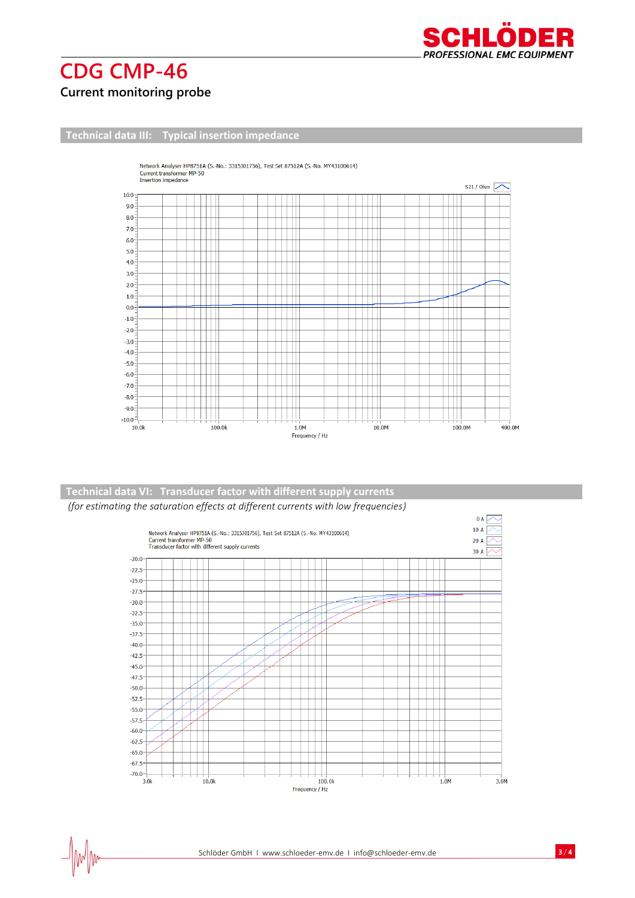

 $\frac{1}{2}$ 

### **Current monitoring probe**

**Technical data III: Typical insertion impedance**



#### *(for estimating the saturation effects at different currents with low frequencies)* **Technical data VI: Transducer factor with different supply currents**